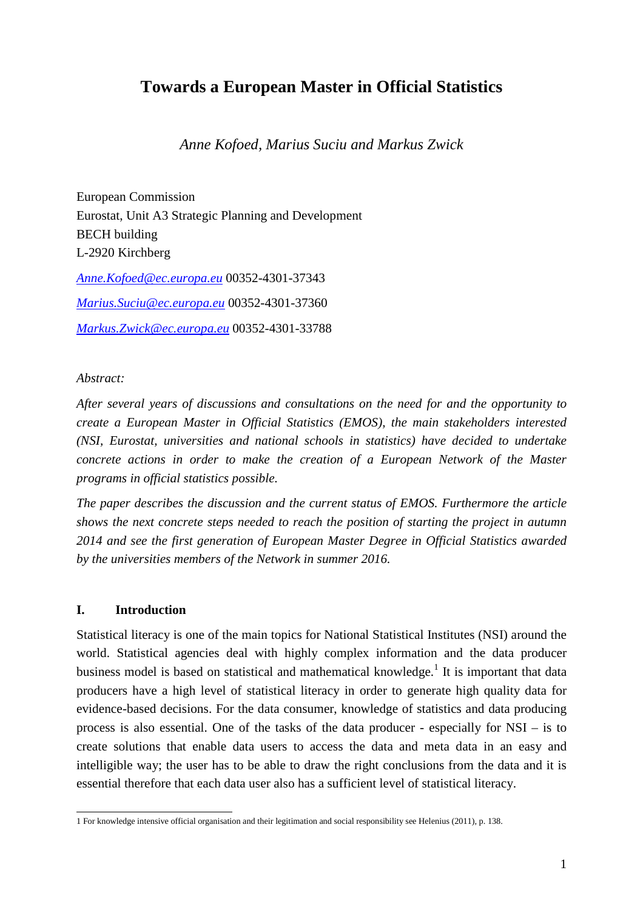# **Towards a European Master in Official Statistics**

*Anne Kofoed, Marius Suciu and Markus Zwick* 

European Commission Eurostat, Unit A3 Strategic Planning and Development BECH building L-2920 Kirchberg *Anne.Kofoed@ec.europa.eu* 00352-4301-37343 *Marius.Suciu@ec.europa.eu* 00352-4301-37360 *Markus.Zwick@ec.europa.eu* 00352-4301-33788

### *Abstract:*

*After several years of discussions and consultations on the need for and the opportunity to create a European Master in Official Statistics (EMOS), the main stakeholders interested (NSI, Eurostat, universities and national schools in statistics) have decided to undertake concrete actions in order to make the creation of a European Network of the Master programs in official statistics possible.* 

*The paper describes the discussion and the current status of EMOS. Furthermore the article shows the next concrete steps needed to reach the position of starting the project in autumn 2014 and see the first generation of European Master Degree in Official Statistics awarded by the universities members of the Network in summer 2016.* 

### **I. Introduction**

Statistical literacy is one of the main topics for National Statistical Institutes (NSI) around the world. Statistical agencies deal with highly complex information and the data producer business model is based on statistical and mathematical knowledge.<sup>1</sup> It is important that data producers have a high level of statistical literacy in order to generate high quality data for evidence-based decisions. For the data consumer, knowledge of statistics and data producing process is also essential. One of the tasks of the data producer - especially for NSI – is to create solutions that enable data users to access the data and meta data in an easy and intelligible way; the user has to be able to draw the right conclusions from the data and it is essential therefore that each data user also has a sufficient level of statistical literacy.

 1 For knowledge intensive official organisation and their legitimation and social responsibility see Helenius (2011), p. 138.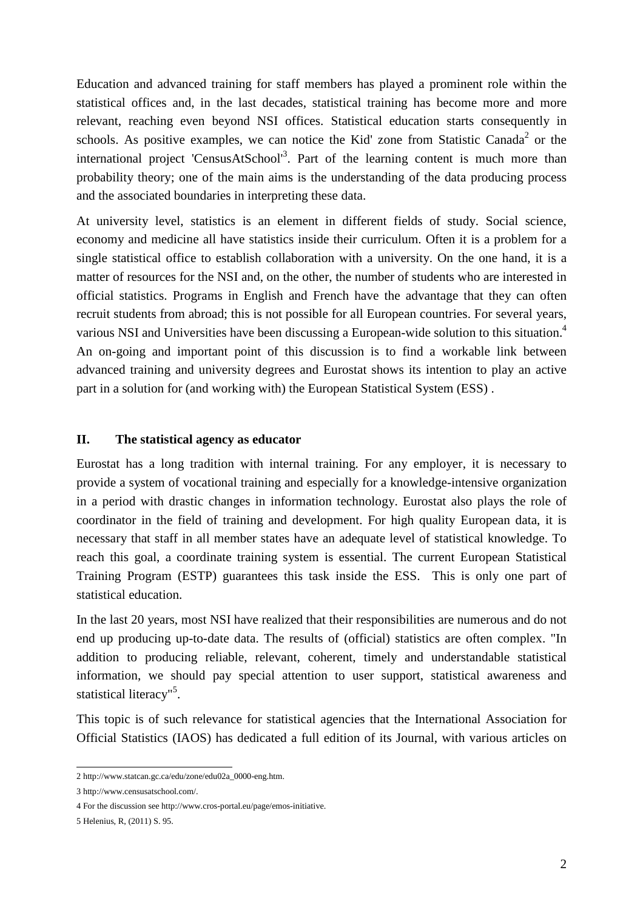Education and advanced training for staff members has played a prominent role within the statistical offices and, in the last decades, statistical training has become more and more relevant, reaching even beyond NSI offices. Statistical education starts consequently in schools. As positive examples, we can notice the Kid' zone from Statistic Canada<sup>2</sup> or the international project 'CensusAtSchool'<sup>3</sup>. Part of the learning content is much more than probability theory; one of the main aims is the understanding of the data producing process and the associated boundaries in interpreting these data.

At university level, statistics is an element in different fields of study. Social science, economy and medicine all have statistics inside their curriculum. Often it is a problem for a single statistical office to establish collaboration with a university. On the one hand, it is a matter of resources for the NSI and, on the other, the number of students who are interested in official statistics. Programs in English and French have the advantage that they can often recruit students from abroad; this is not possible for all European countries. For several years, various NSI and Universities have been discussing a European-wide solution to this situation.<sup>4</sup> An on-going and important point of this discussion is to find a workable link between advanced training and university degrees and Eurostat shows its intention to play an active part in a solution for (and working with) the European Statistical System (ESS) .

### **II. The statistical agency as educator**

Eurostat has a long tradition with internal training. For any employer, it is necessary to provide a system of vocational training and especially for a knowledge-intensive organization in a period with drastic changes in information technology. Eurostat also plays the role of coordinator in the field of training and development. For high quality European data, it is necessary that staff in all member states have an adequate level of statistical knowledge. To reach this goal, a coordinate training system is essential. The current European Statistical Training Program (ESTP) guarantees this task inside the ESS. This is only one part of statistical education.

In the last 20 years, most NSI have realized that their responsibilities are numerous and do not end up producing up-to-date data. The results of (official) statistics are often complex. "In addition to producing reliable, relevant, coherent, timely and understandable statistical information, we should pay special attention to user support, statistical awareness and statistical literacy"<sup>5</sup>.

This topic is of such relevance for statistical agencies that the International Association for Official Statistics (IAOS) has dedicated a full edition of its Journal, with various articles on

 2 http://www.statcan.gc.ca/edu/zone/edu02a\_0000-eng.htm.

<sup>3</sup> http://www.censusatschool.com/.

<sup>4</sup> For the discussion see http://www.cros-portal.eu/page/emos-initiative.

<sup>5</sup> Helenius, R, (2011) S. 95.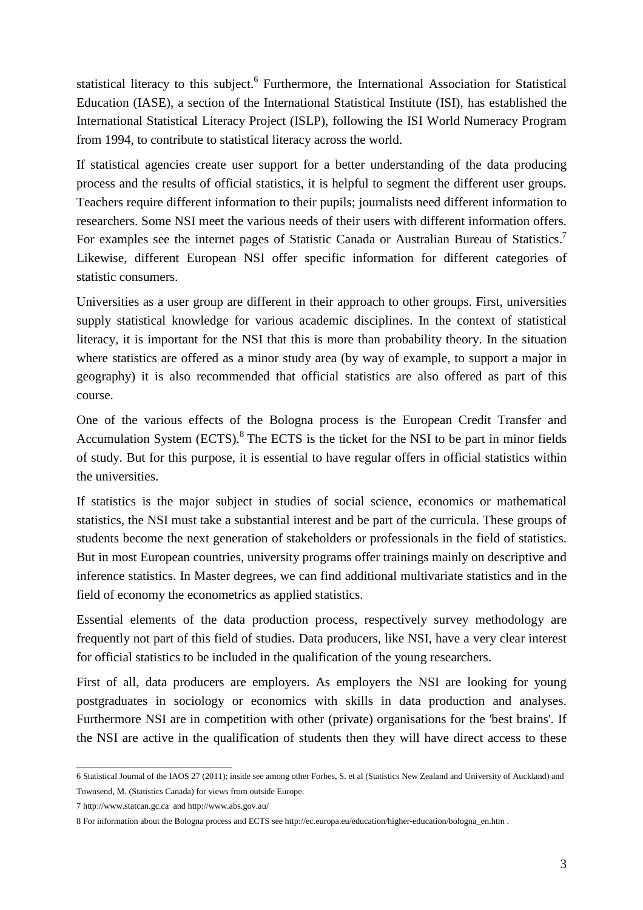statistical literacy to this subject.<sup>6</sup> Furthermore, the International Association for Statistical Education (IASE), a section of the International Statistical Institute (ISI), has established the International Statistical Literacy Project (ISLP), following the ISI World Numeracy Program from 1994, to contribute to statistical literacy across the world.

If statistical agencies create user support for a better understanding of the data producing process and the results of official statistics, it is helpful to segment the different user groups. Teachers require different information to their pupils; journalists need different information to researchers. Some NSI meet the various needs of their users with different information offers. For examples see the internet pages of Statistic Canada or Australian Bureau of Statistics.<sup>7</sup> Likewise, different European NSI offer specific information for different categories of statistic consumers.

Universities as a user group are different in their approach to other groups. First, universities supply statistical knowledge for various academic disciplines. In the context of statistical literacy, it is important for the NSI that this is more than probability theory. In the situation where statistics are offered as a minor study area (by way of example, to support a major in geography) it is also recommended that official statistics are also offered as part of this course.

One of the various effects of the Bologna process is the European Credit Transfer and Accumulation System  $(ECTS)$ .<sup>8</sup> The ECTS is the ticket for the NSI to be part in minor fields of study. But for this purpose, it is essential to have regular offers in official statistics within the universities.

If statistics is the major subject in studies of social science, economics or mathematical statistics, the NSI must take a substantial interest and be part of the curricula. These groups of students become the next generation of stakeholders or professionals in the field of statistics. But in most European countries, university programs offer trainings mainly on descriptive and inference statistics. In Master degrees, we can find additional multivariate statistics and in the field of economy the econometrics as applied statistics.

Essential elements of the data production process, respectively survey methodology are frequently not part of this field of studies. Data producers, like NSI, have a very clear interest for official statistics to be included in the qualification of the young researchers.

First of all, data producers are employers. As employers the NSI are looking for young postgraduates in sociology or economics with skills in data production and analyses. Furthermore NSI are in competition with other (private) organisations for the 'best brains'. If the NSI are active in the qualification of students then they will have direct access to these

 6 Statistical Journal of the IAOS 27 (2011); inside see among other Forbes, S. et al (Statistics New Zealand and University of Auckland) and Townsend, M. (Statistics Canada) for views from outside Europe.

<sup>7</sup> http://www.statcan.gc.ca and http://www.abs.gov.au/

<sup>8</sup> For information about the Bologna process and ECTS see http://ec.europa.eu/education/higher-education/bologna\_en.htm .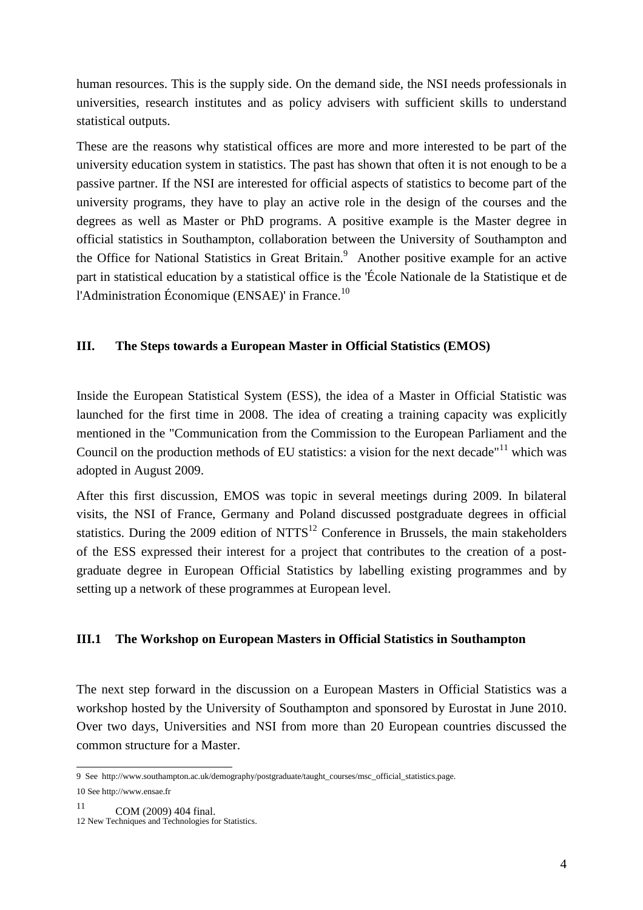human resources. This is the supply side. On the demand side, the NSI needs professionals in universities, research institutes and as policy advisers with sufficient skills to understand statistical outputs.

These are the reasons why statistical offices are more and more interested to be part of the university education system in statistics. The past has shown that often it is not enough to be a passive partner. If the NSI are interested for official aspects of statistics to become part of the university programs, they have to play an active role in the design of the courses and the degrees as well as Master or PhD programs. A positive example is the Master degree in official statistics in Southampton, collaboration between the University of Southampton and the Office for National Statistics in Great Britain.<sup>9</sup> Another positive example for an active part in statistical education by a statistical office is the 'École Nationale de la Statistique et de l'Administration Économique (ENSAE)' in France.<sup>10</sup>

### **III. The Steps towards a European Master in Official Statistics (EMOS)**

Inside the European Statistical System (ESS), the idea of a Master in Official Statistic was launched for the first time in 2008. The idea of creating a training capacity was explicitly mentioned in the "Communication from the Commission to the European Parliament and the Council on the production methods of EU statistics: a vision for the next decade"<sup>11</sup> which was adopted in August 2009.

After this first discussion, EMOS was topic in several meetings during 2009. In bilateral visits, the NSI of France, Germany and Poland discussed postgraduate degrees in official statistics. During the 2009 edition of  $NTTS<sup>12</sup>$  Conference in Brussels, the main stakeholders of the ESS expressed their interest for a project that contributes to the creation of a postgraduate degree in European Official Statistics by labelling existing programmes and by setting up a network of these programmes at European level.

### **III.1 The Workshop on European Masters in Official Statistics in Southampton**

The next step forward in the discussion on a European Masters in Official Statistics was a workshop hosted by the University of Southampton and sponsored by Eurostat in June 2010. Over two days, Universities and NSI from more than 20 European countries discussed the common structure for a Master.

 9 See http://www.southampton.ac.uk/demography/postgraduate/taught\_courses/msc\_official\_statistics.page.

<sup>10</sup> See http://www.ensae.fr

 $11$  COM (2009) 404 final.

<sup>12</sup> New Techniques and Technologies for Statistics.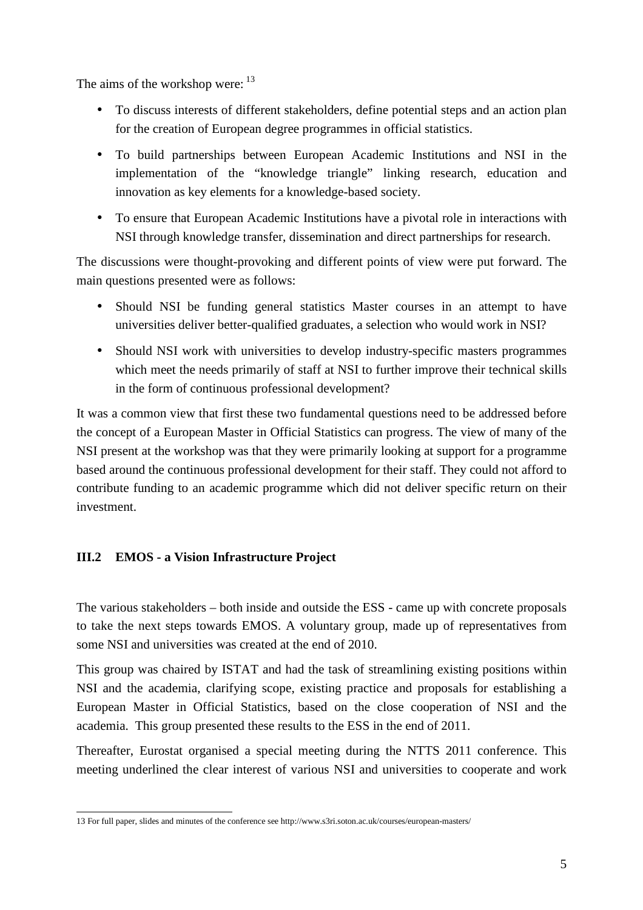The aims of the workshop were:  $13$ 

- To discuss interests of different stakeholders, define potential steps and an action plan for the creation of European degree programmes in official statistics.
- To build partnerships between European Academic Institutions and NSI in the implementation of the "knowledge triangle" linking research, education and innovation as key elements for a knowledge-based society.
- To ensure that European Academic Institutions have a pivotal role in interactions with NSI through knowledge transfer, dissemination and direct partnerships for research.

The discussions were thought-provoking and different points of view were put forward. The main questions presented were as follows:

- Should NSI be funding general statistics Master courses in an attempt to have universities deliver better-qualified graduates, a selection who would work in NSI?
- Should NSI work with universities to develop industry-specific masters programmes which meet the needs primarily of staff at NSI to further improve their technical skills in the form of continuous professional development?

It was a common view that first these two fundamental questions need to be addressed before the concept of a European Master in Official Statistics can progress. The view of many of the NSI present at the workshop was that they were primarily looking at support for a programme based around the continuous professional development for their staff. They could not afford to contribute funding to an academic programme which did not deliver specific return on their investment.

# **III.2 EMOS - a Vision Infrastructure Project**

The various stakeholders – both inside and outside the ESS - came up with concrete proposals to take the next steps towards EMOS. A voluntary group, made up of representatives from some NSI and universities was created at the end of 2010.

This group was chaired by ISTAT and had the task of streamlining existing positions within NSI and the academia, clarifying scope, existing practice and proposals for establishing a European Master in Official Statistics, based on the close cooperation of NSI and the academia. This group presented these results to the ESS in the end of 2011.

Thereafter, Eurostat organised a special meeting during the NTTS 2011 conference. This meeting underlined the clear interest of various NSI and universities to cooperate and work

 13 For full paper, slides and minutes of the conference see http://www.s3ri.soton.ac.uk/courses/european-masters/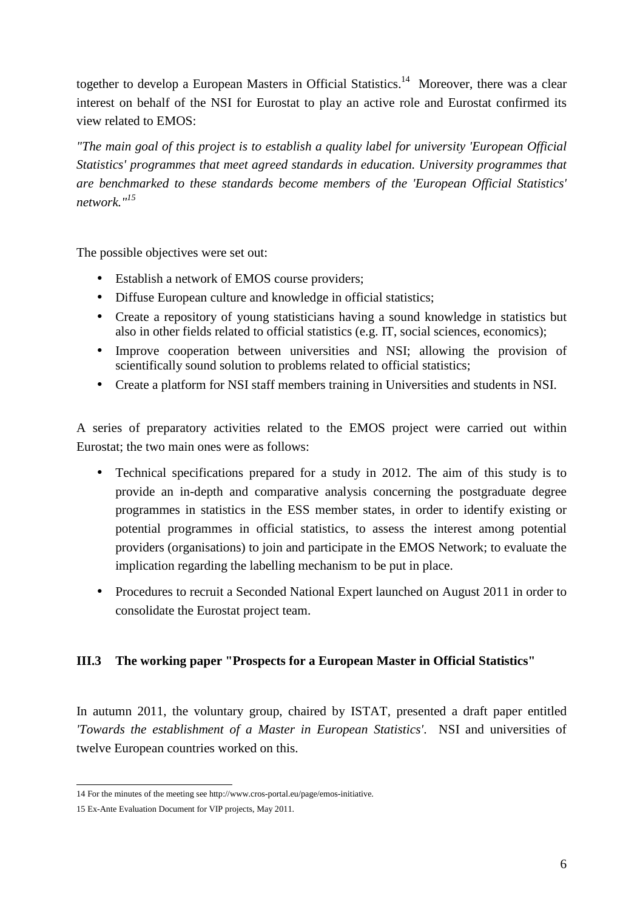together to develop a European Masters in Official Statistics.<sup>14</sup> Moreover, there was a clear interest on behalf of the NSI for Eurostat to play an active role and Eurostat confirmed its view related to EMOS:

*"The main goal of this project is to establish a quality label for university 'European Official Statistics' programmes that meet agreed standards in education. University programmes that are benchmarked to these standards become members of the 'European Official Statistics' network."<sup>15</sup>*

The possible objectives were set out:

- Establish a network of EMOS course providers;
- Diffuse European culture and knowledge in official statistics;
- Create a repository of young statisticians having a sound knowledge in statistics but also in other fields related to official statistics (e.g. IT, social sciences, economics);
- Improve cooperation between universities and NSI; allowing the provision of scientifically sound solution to problems related to official statistics;
- Create a platform for NSI staff members training in Universities and students in NSI.

A series of preparatory activities related to the EMOS project were carried out within Eurostat; the two main ones were as follows:

- Technical specifications prepared for a study in 2012. The aim of this study is to provide an in-depth and comparative analysis concerning the postgraduate degree programmes in statistics in the ESS member states, in order to identify existing or potential programmes in official statistics, to assess the interest among potential providers (organisations) to join and participate in the EMOS Network; to evaluate the implication regarding the labelling mechanism to be put in place.
- Procedures to recruit a Seconded National Expert launched on August 2011 in order to consolidate the Eurostat project team.

# **III.3 The working paper "Prospects for a European Master in Official Statistics"**

In autumn 2011, the voluntary group, chaired by ISTAT, presented a draft paper entitled *'Towards the establishment of a Master in European Statistics'*. NSI and universities of twelve European countries worked on this.

 14 For the minutes of the meeting see http://www.cros-portal.eu/page/emos-initiative.

<sup>15</sup> Ex-Ante Evaluation Document for VIP projects, May 2011.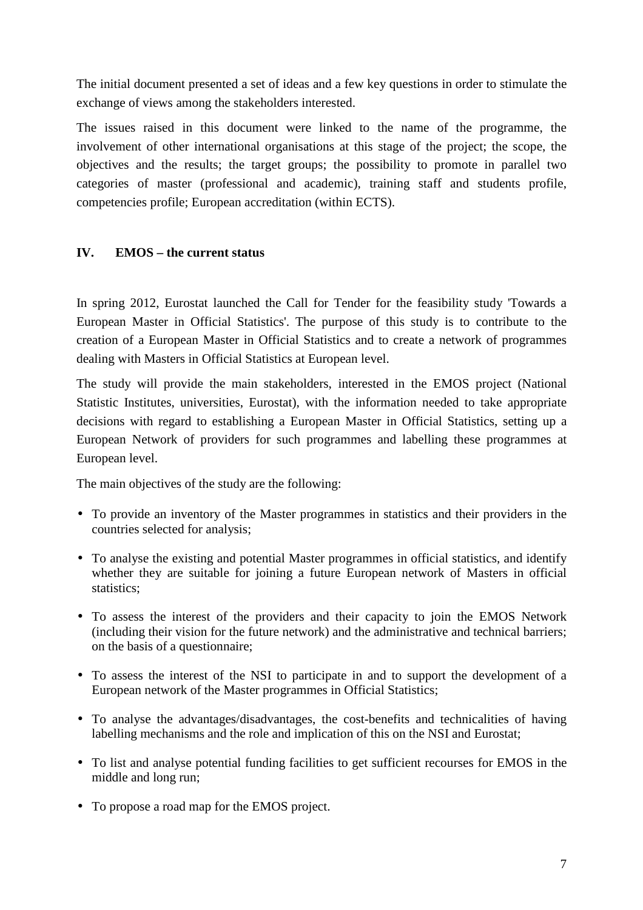The initial document presented a set of ideas and a few key questions in order to stimulate the exchange of views among the stakeholders interested.

The issues raised in this document were linked to the name of the programme, the involvement of other international organisations at this stage of the project; the scope, the objectives and the results; the target groups; the possibility to promote in parallel two categories of master (professional and academic), training staff and students profile, competencies profile; European accreditation (within ECTS).

# **IV. EMOS – the current status**

In spring 2012, Eurostat launched the Call for Tender for the feasibility study 'Towards a European Master in Official Statistics'. The purpose of this study is to contribute to the creation of a European Master in Official Statistics and to create a network of programmes dealing with Masters in Official Statistics at European level.

The study will provide the main stakeholders, interested in the EMOS project (National Statistic Institutes, universities, Eurostat), with the information needed to take appropriate decisions with regard to establishing a European Master in Official Statistics, setting up a European Network of providers for such programmes and labelling these programmes at European level.

The main objectives of the study are the following:

- To provide an inventory of the Master programmes in statistics and their providers in the countries selected for analysis;
- To analyse the existing and potential Master programmes in official statistics, and identify whether they are suitable for joining a future European network of Masters in official statistics;
- To assess the interest of the providers and their capacity to join the EMOS Network (including their vision for the future network) and the administrative and technical barriers; on the basis of a questionnaire;
- To assess the interest of the NSI to participate in and to support the development of a European network of the Master programmes in Official Statistics;
- To analyse the advantages/disadvantages, the cost-benefits and technicalities of having labelling mechanisms and the role and implication of this on the NSI and Eurostat;
- To list and analyse potential funding facilities to get sufficient recourses for EMOS in the middle and long run;
- To propose a road map for the EMOS project.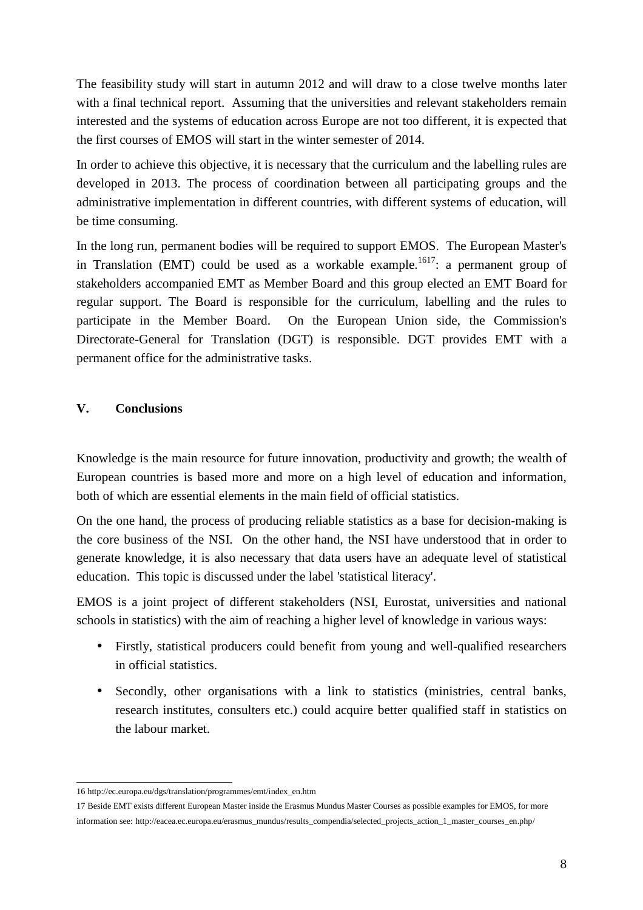The feasibility study will start in autumn 2012 and will draw to a close twelve months later with a final technical report. Assuming that the universities and relevant stakeholders remain interested and the systems of education across Europe are not too different, it is expected that the first courses of EMOS will start in the winter semester of 2014.

In order to achieve this objective, it is necessary that the curriculum and the labelling rules are developed in 2013. The process of coordination between all participating groups and the administrative implementation in different countries, with different systems of education, will be time consuming.

In the long run, permanent bodies will be required to support EMOS. The European Master's in Translation (EMT) could be used as a workable example.<sup>1617</sup>: a permanent group of stakeholders accompanied EMT as Member Board and this group elected an EMT Board for regular support. The Board is responsible for the curriculum, labelling and the rules to participate in the Member Board. On the European Union side, the Commission's Directorate-General for Translation (DGT) is responsible. DGT provides EMT with a permanent office for the administrative tasks.

### **V. Conclusions**

Knowledge is the main resource for future innovation, productivity and growth; the wealth of European countries is based more and more on a high level of education and information, both of which are essential elements in the main field of official statistics.

On the one hand, the process of producing reliable statistics as a base for decision-making is the core business of the NSI. On the other hand, the NSI have understood that in order to generate knowledge, it is also necessary that data users have an adequate level of statistical education. This topic is discussed under the label 'statistical literacy'.

EMOS is a joint project of different stakeholders (NSI, Eurostat, universities and national schools in statistics) with the aim of reaching a higher level of knowledge in various ways:

- Firstly, statistical producers could benefit from young and well-qualified researchers in official statistics.
- Secondly, other organisations with a link to statistics (ministries, central banks, research institutes, consulters etc.) could acquire better qualified staff in statistics on the labour market.

 16 http://ec.europa.eu/dgs/translation/programmes/emt/index\_en.htm

<sup>17</sup> Beside EMT exists different European Master inside the Erasmus Mundus Master Courses as possible examples for EMOS, for more information see: http://eacea.ec.europa.eu/erasmus\_mundus/results\_compendia/selected\_projects\_action\_1\_master\_courses\_en.php/